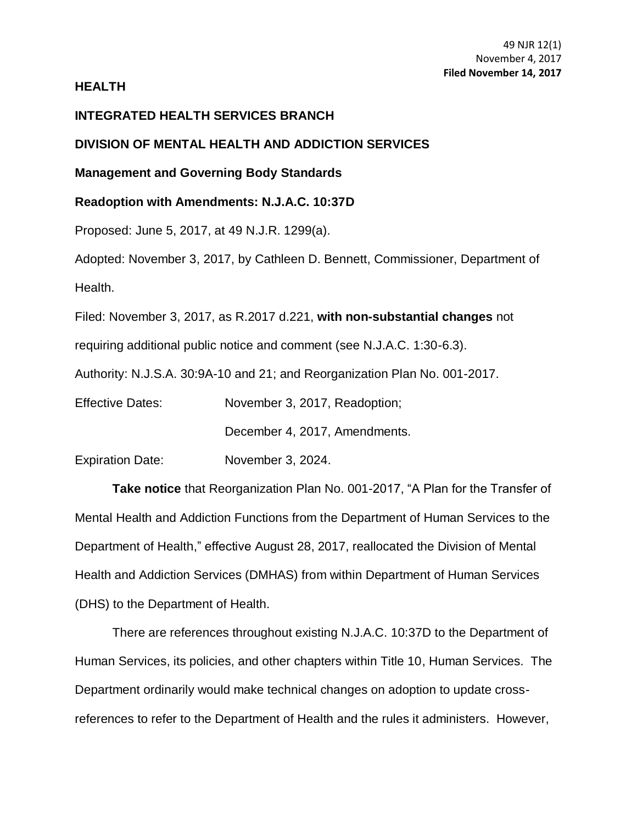#### **HEALTH**

## **INTEGRATED HEALTH SERVICES BRANCH**

#### **DIVISION OF MENTAL HEALTH AND ADDICTION SERVICES**

# **Management and Governing Body Standards**

### **Readoption with Amendments: N.J.A.C. 10:37D**

Proposed: June 5, 2017, at 49 N.J.R. 1299(a).

Adopted: November 3, 2017, by Cathleen D. Bennett, Commissioner, Department of Health.

Filed: November 3, 2017, as R.2017 d.221, **with non-substantial changes** not

requiring additional public notice and comment (see N.J.A.C. 1:30-6.3).

Authority: N.J.S.A. 30:9A-10 and 21; and Reorganization Plan No. 001-2017.

Effective Dates: November 3, 2017, Readoption;

December 4, 2017, Amendments.

Expiration Date: November 3, 2024.

**Take notice** that Reorganization Plan No. 001-2017, "A Plan for the Transfer of Mental Health and Addiction Functions from the Department of Human Services to the Department of Health," effective August 28, 2017, reallocated the Division of Mental Health and Addiction Services (DMHAS) from within Department of Human Services (DHS) to the Department of Health.

There are references throughout existing N.J.A.C. 10:37D to the Department of Human Services, its policies, and other chapters within Title 10, Human Services. The Department ordinarily would make technical changes on adoption to update crossreferences to refer to the Department of Health and the rules it administers. However,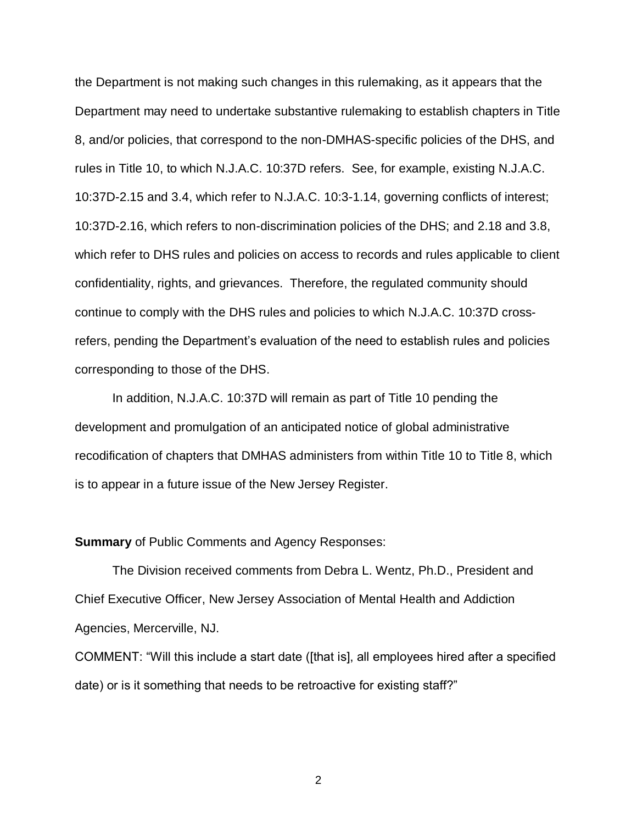the Department is not making such changes in this rulemaking, as it appears that the Department may need to undertake substantive rulemaking to establish chapters in Title 8, and/or policies, that correspond to the non-DMHAS-specific policies of the DHS, and rules in Title 10, to which N.J.A.C. 10:37D refers. See, for example, existing N.J.A.C. 10:37D-2.15 and 3.4, which refer to N.J.A.C. 10:3-1.14, governing conflicts of interest; 10:37D-2.16, which refers to non-discrimination policies of the DHS; and 2.18 and 3.8, which refer to DHS rules and policies on access to records and rules applicable to client confidentiality, rights, and grievances. Therefore, the regulated community should continue to comply with the DHS rules and policies to which N.J.A.C. 10:37D crossrefers, pending the Department's evaluation of the need to establish rules and policies corresponding to those of the DHS.

In addition, N.J.A.C. 10:37D will remain as part of Title 10 pending the development and promulgation of an anticipated notice of global administrative recodification of chapters that DMHAS administers from within Title 10 to Title 8, which is to appear in a future issue of the New Jersey Register.

#### **Summary** of Public Comments and Agency Responses:

The Division received comments from Debra L. Wentz, Ph.D., President and Chief Executive Officer, New Jersey Association of Mental Health and Addiction Agencies, Mercerville, NJ.

COMMENT: "Will this include a start date ([that is], all employees hired after a specified date) or is it something that needs to be retroactive for existing staff?"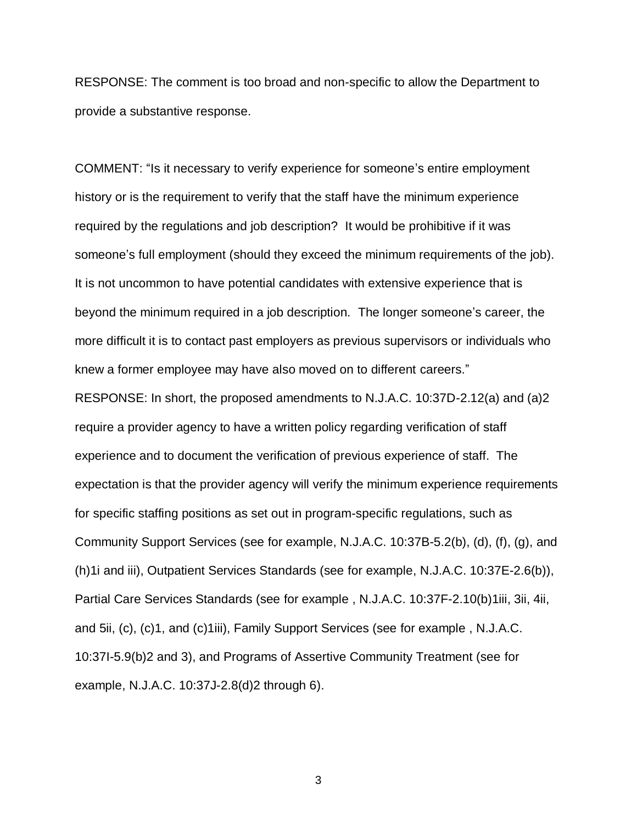RESPONSE: The comment is too broad and non-specific to allow the Department to provide a substantive response.

COMMENT: "Is it necessary to verify experience for someone's entire employment history or is the requirement to verify that the staff have the minimum experience required by the regulations and job description? It would be prohibitive if it was someone's full employment (should they exceed the minimum requirements of the job). It is not uncommon to have potential candidates with extensive experience that is beyond the minimum required in a job description. The longer someone's career, the more difficult it is to contact past employers as previous supervisors or individuals who knew a former employee may have also moved on to different careers."

RESPONSE: In short, the proposed amendments to N.J.A.C. 10:37D-2.12(a) and (a)2 require a provider agency to have a written policy regarding verification of staff experience and to document the verification of previous experience of staff. The expectation is that the provider agency will verify the minimum experience requirements for specific staffing positions as set out in program-specific regulations, such as Community Support Services (see for example, N.J.A.C. 10:37B-5.2(b), (d), (f), (g), and (h)1i and iii), Outpatient Services Standards (see for example, N.J.A.C. 10:37E-2.6(b)), Partial Care Services Standards (see for example , N.J.A.C. 10:37F-2.10(b)1iii, 3ii, 4ii, and 5ii, (c), (c)1, and (c)1iii), Family Support Services (see for example, N.J.A.C. 10:37I-5.9(b)2 and 3), and Programs of Assertive Community Treatment (see for example, N.J.A.C. 10:37J-2.8(d)2 through 6).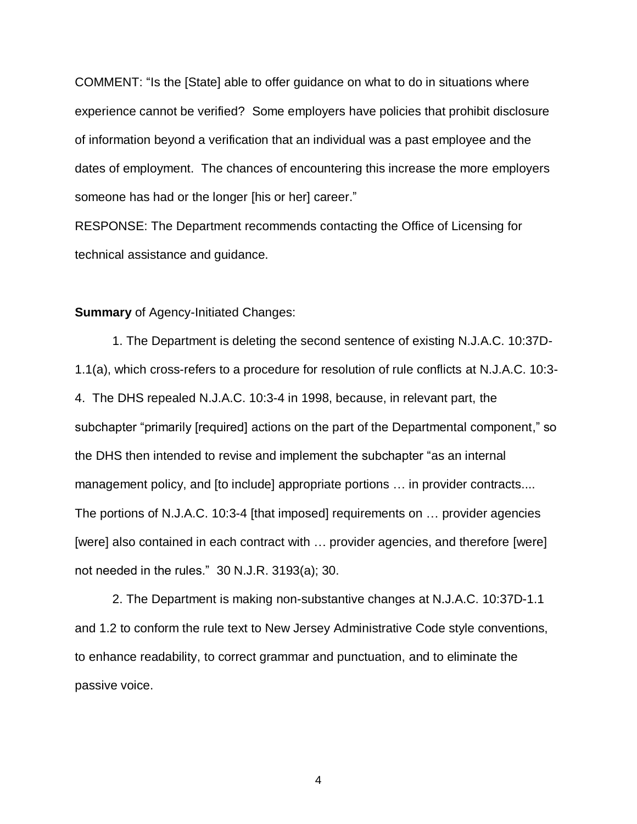COMMENT: "Is the [State] able to offer guidance on what to do in situations where experience cannot be verified? Some employers have policies that prohibit disclosure of information beyond a verification that an individual was a past employee and the dates of employment. The chances of encountering this increase the more employers someone has had or the longer [his or her] career."

RESPONSE: The Department recommends contacting the Office of Licensing for technical assistance and guidance.

#### **Summary** of Agency-Initiated Changes:

1. The Department is deleting the second sentence of existing N.J.A.C. 10:37D-1.1(a), which cross-refers to a procedure for resolution of rule conflicts at N.J.A.C. 10:3- 4. The DHS repealed N.J.A.C. 10:3-4 in 1998, because, in relevant part, the subchapter "primarily [required] actions on the part of the Departmental component," so the DHS then intended to revise and implement the subchapter "as an internal management policy, and [to include] appropriate portions ... in provider contracts.... The portions of N.J.A.C. 10:3-4 [that imposed] requirements on … provider agencies [were] also contained in each contract with … provider agencies, and therefore [were] not needed in the rules." 30 N.J.R. 3193(a); 30.

2. The Department is making non-substantive changes at N.J.A.C. 10:37D-1.1 and 1.2 to conform the rule text to New Jersey Administrative Code style conventions, to enhance readability, to correct grammar and punctuation, and to eliminate the passive voice.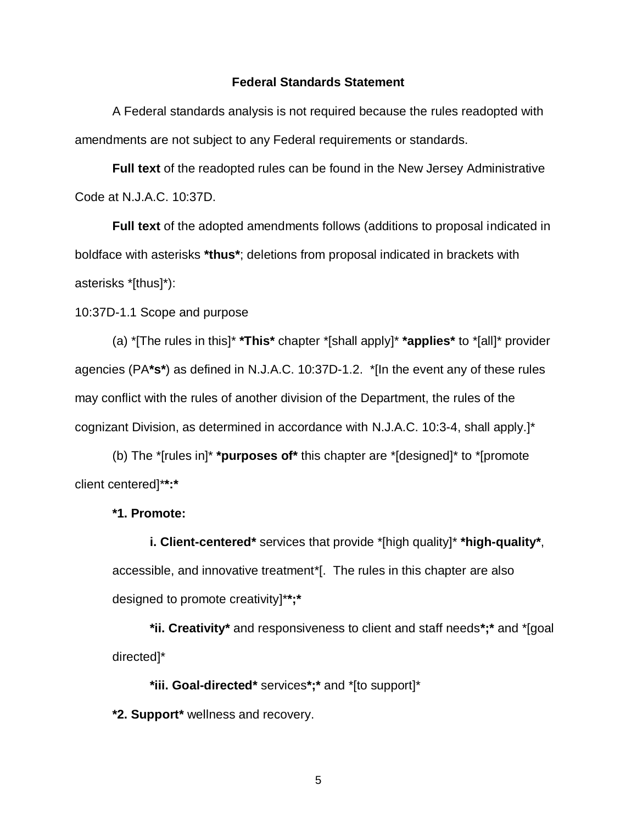#### **Federal Standards Statement**

A Federal standards analysis is not required because the rules readopted with amendments are not subject to any Federal requirements or standards.

**Full text** of the readopted rules can be found in the New Jersey Administrative Code at N.J.A.C. 10:37D.

**Full text** of the adopted amendments follows (additions to proposal indicated in boldface with asterisks **\*thus\***; deletions from proposal indicated in brackets with asterisks \*[thus]\*):

10:37D-1.1 Scope and purpose

(a) \*[The rules in this]\* **\*This\*** chapter \*[shall apply]\* **\*applies\*** to \*[all]\* provider agencies (PA**\*s\***) as defined in N.J.A.C. 10:37D-1.2. \*[In the event any of these rules may conflict with the rules of another division of the Department, the rules of the cognizant Division, as determined in accordance with N.J.A.C. 10:3-4, shall apply.]\*

(b) The \*[rules in]\* **\*purposes of\*** this chapter are \*[designed]\* to \*[promote client centered]\***\*:\***

**\*1. Promote:**

**i. Client-centered\*** services that provide \*[high quality]\* **\*high-quality\***, accessible, and innovative treatment\*[. The rules in this chapter are also designed to promote creativity]\***\*;\***

**\*ii. Creativity\*** and responsiveness to client and staff needs**\*;\*** and \*[goal directed]\*

**\*iii. Goal-directed\*** services**\*;\*** and \*[to support]\*

**\*2. Support\*** wellness and recovery.